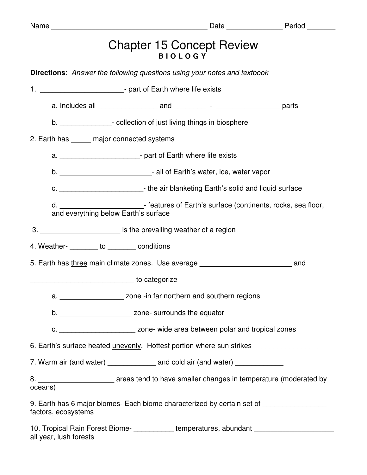|                                                            | c. ________________________________- the air blanketing Earth's solid and liquid surface |                                                                                                                    |                                                                                                                                                                                                                                                                                                                                                                                                                                                                                                                                                                                                                                                                                                                                                                                                                                                                                                                                                                                                                                                                                                                                                                                                                                                         |  |
|------------------------------------------------------------|------------------------------------------------------------------------------------------|--------------------------------------------------------------------------------------------------------------------|---------------------------------------------------------------------------------------------------------------------------------------------------------------------------------------------------------------------------------------------------------------------------------------------------------------------------------------------------------------------------------------------------------------------------------------------------------------------------------------------------------------------------------------------------------------------------------------------------------------------------------------------------------------------------------------------------------------------------------------------------------------------------------------------------------------------------------------------------------------------------------------------------------------------------------------------------------------------------------------------------------------------------------------------------------------------------------------------------------------------------------------------------------------------------------------------------------------------------------------------------------|--|
|                                                            |                                                                                          |                                                                                                                    |                                                                                                                                                                                                                                                                                                                                                                                                                                                                                                                                                                                                                                                                                                                                                                                                                                                                                                                                                                                                                                                                                                                                                                                                                                                         |  |
|                                                            |                                                                                          |                                                                                                                    |                                                                                                                                                                                                                                                                                                                                                                                                                                                                                                                                                                                                                                                                                                                                                                                                                                                                                                                                                                                                                                                                                                                                                                                                                                                         |  |
|                                                            |                                                                                          |                                                                                                                    |                                                                                                                                                                                                                                                                                                                                                                                                                                                                                                                                                                                                                                                                                                                                                                                                                                                                                                                                                                                                                                                                                                                                                                                                                                                         |  |
|                                                            |                                                                                          |                                                                                                                    |                                                                                                                                                                                                                                                                                                                                                                                                                                                                                                                                                                                                                                                                                                                                                                                                                                                                                                                                                                                                                                                                                                                                                                                                                                                         |  |
|                                                            |                                                                                          |                                                                                                                    |                                                                                                                                                                                                                                                                                                                                                                                                                                                                                                                                                                                                                                                                                                                                                                                                                                                                                                                                                                                                                                                                                                                                                                                                                                                         |  |
|                                                            |                                                                                          |                                                                                                                    |                                                                                                                                                                                                                                                                                                                                                                                                                                                                                                                                                                                                                                                                                                                                                                                                                                                                                                                                                                                                                                                                                                                                                                                                                                                         |  |
| b. ___________________________ zone- surrounds the equator |                                                                                          |                                                                                                                    |                                                                                                                                                                                                                                                                                                                                                                                                                                                                                                                                                                                                                                                                                                                                                                                                                                                                                                                                                                                                                                                                                                                                                                                                                                                         |  |
|                                                            |                                                                                          |                                                                                                                    |                                                                                                                                                                                                                                                                                                                                                                                                                                                                                                                                                                                                                                                                                                                                                                                                                                                                                                                                                                                                                                                                                                                                                                                                                                                         |  |
|                                                            |                                                                                          |                                                                                                                    |                                                                                                                                                                                                                                                                                                                                                                                                                                                                                                                                                                                                                                                                                                                                                                                                                                                                                                                                                                                                                                                                                                                                                                                                                                                         |  |
|                                                            |                                                                                          |                                                                                                                    |                                                                                                                                                                                                                                                                                                                                                                                                                                                                                                                                                                                                                                                                                                                                                                                                                                                                                                                                                                                                                                                                                                                                                                                                                                                         |  |
| oceans)                                                    |                                                                                          |                                                                                                                    |                                                                                                                                                                                                                                                                                                                                                                                                                                                                                                                                                                                                                                                                                                                                                                                                                                                                                                                                                                                                                                                                                                                                                                                                                                                         |  |
| factors, ecosystems                                        |                                                                                          |                                                                                                                    |                                                                                                                                                                                                                                                                                                                                                                                                                                                                                                                                                                                                                                                                                                                                                                                                                                                                                                                                                                                                                                                                                                                                                                                                                                                         |  |
|                                                            |                                                                                          | 2. Earth has ______ major connected systems<br>4. Weather- <b>________</b> to ________ conditions<br>to categorize | <b>Chapter 15 Concept Review</b><br><b>BIOLOGY</b><br><b>Directions:</b> Answer the following questions using your notes and textbook<br>1. _______________________________- part of Earth where life exists<br>b. _________________- collection of just living things in biosphere<br>a. _____________________________- part of Earth where life exists<br>b. _______________________________- all of Earth's water, ice, water vapor<br>d. ____________________- features of Earth's surface (continents, rocks, sea floor, and everything below Earth's surface<br>3. __________________________ is the prevailing weather of a region<br>5. Earth has three main climate zones. Use average _____________________________ and<br>a. ______________________ zone -in far northern and southern regions<br>c. __________________________ zone- wide area between polar and tropical zones<br>6. Earth's surface heated unevenly. Hottest portion where sun strikes<br>7. Warm air (and water) ________________ and cold air (and water) ______________<br>8. _____________________________ areas tend to have smaller changes in temperature (moderated by<br>9. Earth has 6 major biomes- Each biome characterized by certain set of _______________ |  |

10. Tropical Rain Forest Biome- \_\_\_\_\_\_\_\_\_\_\_ temperatures, abundant \_\_\_\_\_\_\_\_\_\_\_\_\_ all year, lush forests